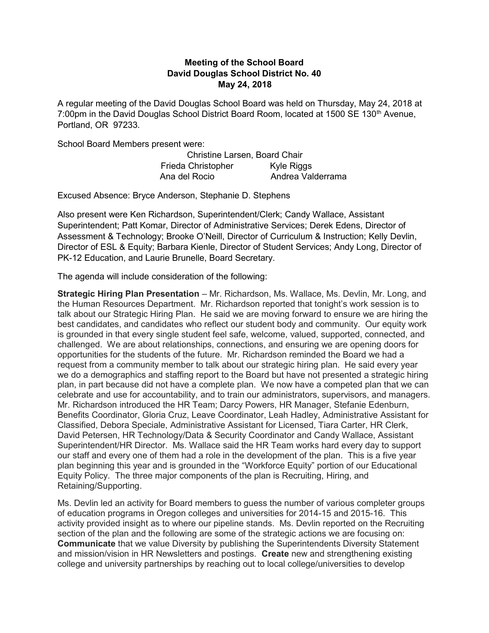## Meeting of the School Board David Douglas School District No. 40 May 24, 2018

A regular meeting of the David Douglas School Board was held on Thursday, May 24, 2018 at 7:00pm in the David Douglas School District Board Room, located at 1500 SE 130<sup>th</sup> Avenue, Portland, OR 97233.

School Board Members present were:

Christine Larsen, Board Chair Frieda Christopher Kyle Riggs Ana del Rocio **Andrea Valderrama** 

Excused Absence: Bryce Anderson, Stephanie D. Stephens

Also present were Ken Richardson, Superintendent/Clerk; Candy Wallace, Assistant Superintendent; Patt Komar, Director of Administrative Services; Derek Edens, Director of Assessment & Technology; Brooke O'Neill, Director of Curriculum & Instruction; Kelly Devlin, Director of ESL & Equity; Barbara Kienle, Director of Student Services; Andy Long, Director of PK-12 Education, and Laurie Brunelle, Board Secretary.

The agenda will include consideration of the following:

Strategic Hiring Plan Presentation – Mr. Richardson, Ms. Wallace, Ms. Devlin, Mr. Long, and the Human Resources Department. Mr. Richardson reported that tonight's work session is to talk about our Strategic Hiring Plan. He said we are moving forward to ensure we are hiring the best candidates, and candidates who reflect our student body and community. Our equity work is grounded in that every single student feel safe, welcome, valued, supported, connected, and challenged. We are about relationships, connections, and ensuring we are opening doors for opportunities for the students of the future. Mr. Richardson reminded the Board we had a request from a community member to talk about our strategic hiring plan. He said every year we do a demographics and staffing report to the Board but have not presented a strategic hiring plan, in part because did not have a complete plan. We now have a competed plan that we can celebrate and use for accountability, and to train our administrators, supervisors, and managers. Mr. Richardson introduced the HR Team; Darcy Powers, HR Manager, Stefanie Edenburn, Benefits Coordinator, Gloria Cruz, Leave Coordinator, Leah Hadley, Administrative Assistant for Classified, Debora Speciale, Administrative Assistant for Licensed, Tiara Carter, HR Clerk, David Petersen, HR Technology/Data & Security Coordinator and Candy Wallace, Assistant Superintendent/HR Director. Ms. Wallace said the HR Team works hard every day to support our staff and every one of them had a role in the development of the plan. This is a five year plan beginning this year and is grounded in the "Workforce Equity" portion of our Educational Equity Policy. The three major components of the plan is Recruiting, Hiring, and Retaining/Supporting.

Ms. Devlin led an activity for Board members to guess the number of various completer groups of education programs in Oregon colleges and universities for 2014-15 and 2015-16. This activity provided insight as to where our pipeline stands. Ms. Devlin reported on the Recruiting section of the plan and the following are some of the strategic actions we are focusing on: Communicate that we value Diversity by publishing the Superintendents Diversity Statement and mission/vision in HR Newsletters and postings. Create new and strengthening existing college and university partnerships by reaching out to local college/universities to develop